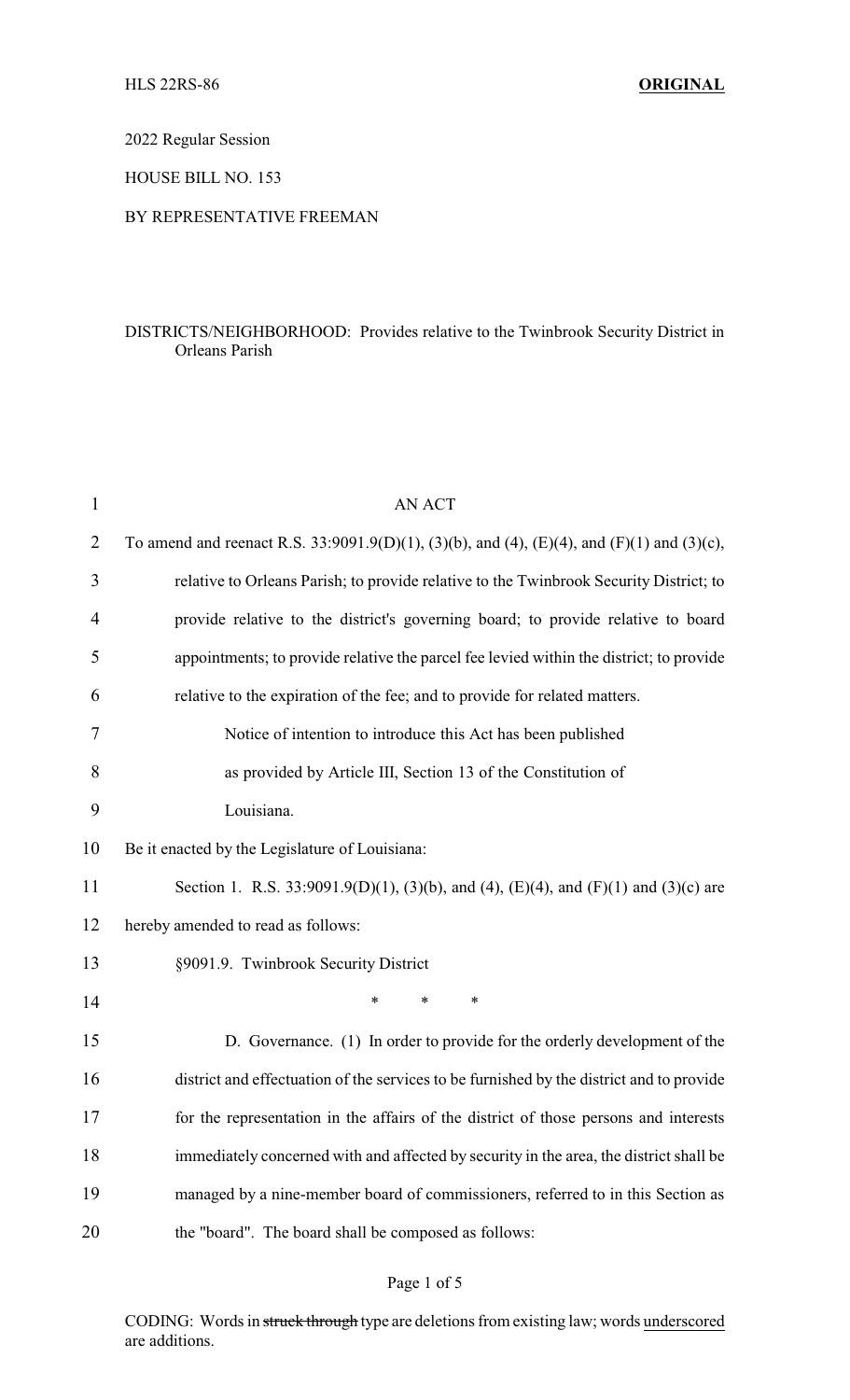2022 Regular Session

HOUSE BILL NO. 153

#### BY REPRESENTATIVE FREEMAN

## DISTRICTS/NEIGHBORHOOD: Provides relative to the Twinbrook Security District in Orleans Parish

| $\mathbf{1}$ | <b>AN ACT</b>                                                                              |
|--------------|--------------------------------------------------------------------------------------------|
| 2            | To amend and reenact R.S. 33:9091.9(D)(1), (3)(b), and (4), (E)(4), and (F)(1) and (3)(c), |
| 3            | relative to Orleans Parish; to provide relative to the Twinbrook Security District; to     |
| 4            | provide relative to the district's governing board; to provide relative to board           |
| 5            | appointments; to provide relative the parcel fee levied within the district; to provide    |
| 6            | relative to the expiration of the fee; and to provide for related matters.                 |
| 7            | Notice of intention to introduce this Act has been published                               |
| 8            | as provided by Article III, Section 13 of the Constitution of                              |
| 9            | Louisiana.                                                                                 |
| 10           | Be it enacted by the Legislature of Louisiana:                                             |
| 11           | Section 1. R.S. 33:9091.9(D)(1), (3)(b), and (4), (E)(4), and (F)(1) and (3)(c) are        |
| 12           | hereby amended to read as follows:                                                         |
| 13           | §9091.9. Twinbrook Security District                                                       |
| 14           | $\ast$<br>$\ast$<br>*                                                                      |
| 15           | D. Governance. (1) In order to provide for the orderly development of the                  |
| 16           | district and effectuation of the services to be furnished by the district and to provide   |
| 17           | for the representation in the affairs of the district of those persons and interests       |
| 18           | immediately concerned with and affected by security in the area, the district shall be     |
| 19           | managed by a nine-member board of commissioners, referred to in this Section as            |
| 20           | the "board". The board shall be composed as follows:                                       |

# Page 1 of 5

CODING: Words in struck through type are deletions from existing law; words underscored are additions.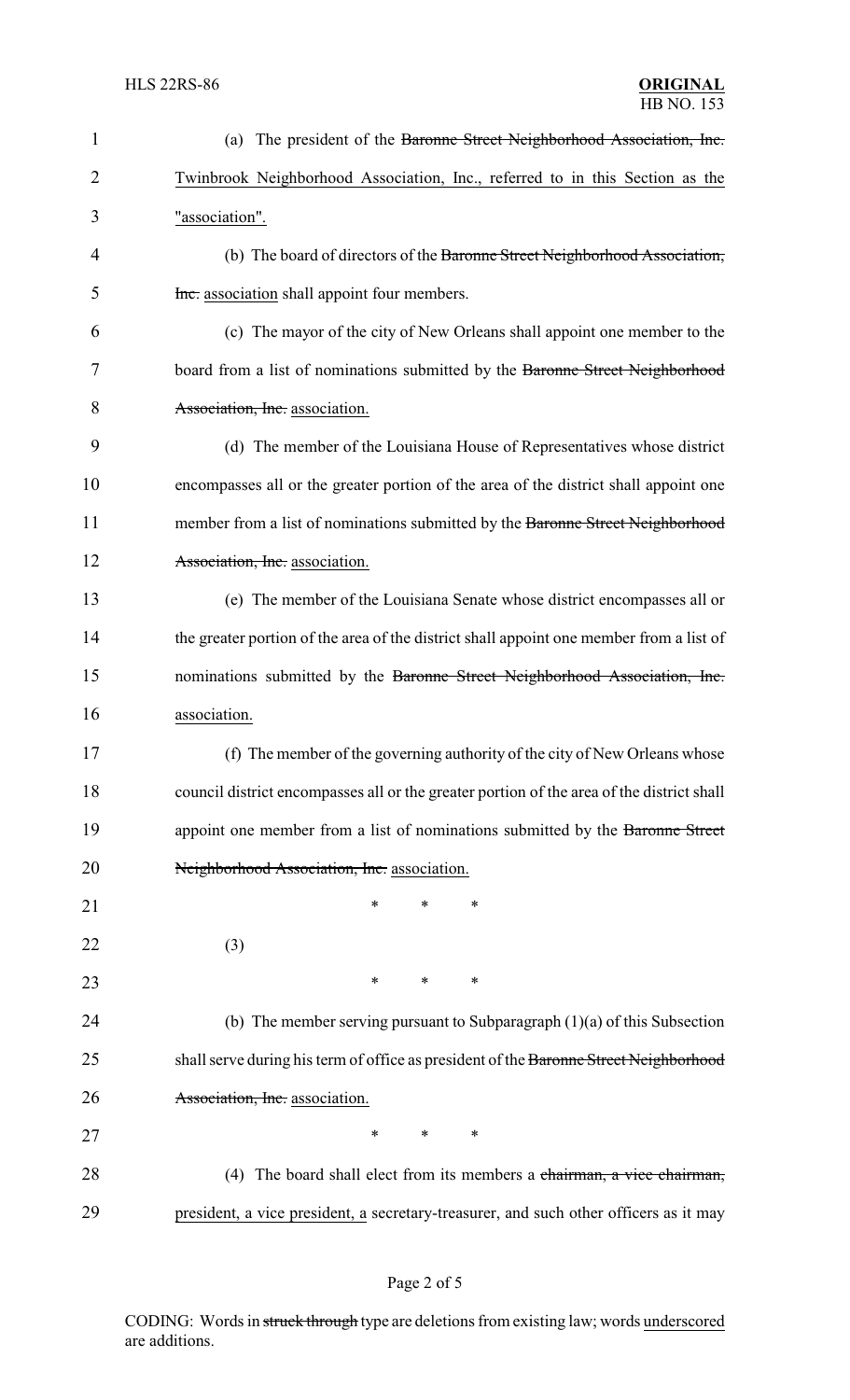| 1              | (a) The president of the Baronne Street Neighborhood Association, Inc.                    |  |  |  |  |
|----------------|-------------------------------------------------------------------------------------------|--|--|--|--|
| $\overline{2}$ | Twinbrook Neighborhood Association, Inc., referred to in this Section as the              |  |  |  |  |
| 3              | "association".                                                                            |  |  |  |  |
| 4              | (b) The board of directors of the Baronne Street Neighborhood Association,                |  |  |  |  |
| 5              | Inc. association shall appoint four members.                                              |  |  |  |  |
| 6              | (c) The mayor of the city of New Orleans shall appoint one member to the                  |  |  |  |  |
| 7              | board from a list of nominations submitted by the Baronne Street Neighborhood             |  |  |  |  |
| 8              | Association, Inc. association.                                                            |  |  |  |  |
| 9              | (d) The member of the Louisiana House of Representatives whose district                   |  |  |  |  |
| 10             | encompasses all or the greater portion of the area of the district shall appoint one      |  |  |  |  |
| 11             | member from a list of nominations submitted by the Baronne Street Neighborhood            |  |  |  |  |
| 12             | Association, Inc. association.                                                            |  |  |  |  |
| 13             | (e) The member of the Louisiana Senate whose district encompasses all or                  |  |  |  |  |
| 14             | the greater portion of the area of the district shall appoint one member from a list of   |  |  |  |  |
| 15             | nominations submitted by the Baronne Street Neighborhood Association, Inc.                |  |  |  |  |
| 16             | association.                                                                              |  |  |  |  |
| 17             | (f) The member of the governing authority of the city of New Orleans whose                |  |  |  |  |
| 18             | council district encompasses all or the greater portion of the area of the district shall |  |  |  |  |
| 19             | appoint one member from a list of nominations submitted by the Baronne Street             |  |  |  |  |
| 20             | Neighborhood Association, Inc. association.                                               |  |  |  |  |
| 21             | *<br>*<br>∗                                                                               |  |  |  |  |
| 22             | (3)                                                                                       |  |  |  |  |
| 23             | *<br>*<br>∗                                                                               |  |  |  |  |
| 24             | (b) The member serving pursuant to Subparagraph $(1)(a)$ of this Subsection               |  |  |  |  |
| 25             | shall serve during his term of office as president of the Baronne Street Neighborhood     |  |  |  |  |
| 26             | Association, Inc. association.                                                            |  |  |  |  |
| 27             | *<br>*<br>$\ast$                                                                          |  |  |  |  |
| 28             | (4) The board shall elect from its members a chairman, a vice chairman,                   |  |  |  |  |
| 29             | president, a vice president, a secretary-treasurer, and such other officers as it may     |  |  |  |  |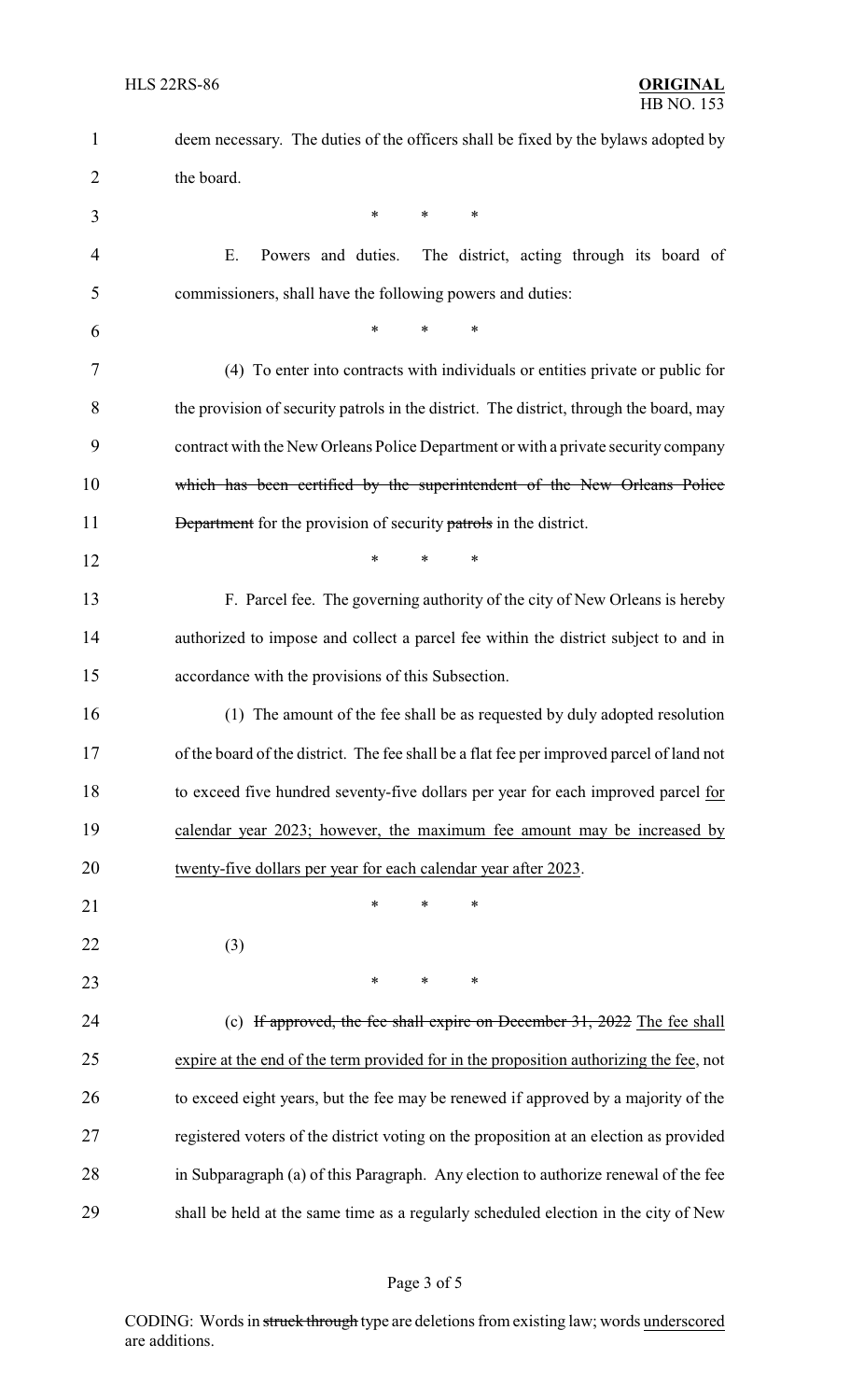| $\mathbf{1}$ | deem necessary. The duties of the officers shall be fixed by the bylaws adopted by        |
|--------------|-------------------------------------------------------------------------------------------|
| 2            | the board.                                                                                |
| 3            | $\ast$<br>$\ast$<br>∗                                                                     |
| 4            | Ε.<br>Powers and duties.<br>The district, acting through its board of                     |
| 5            | commissioners, shall have the following powers and duties:                                |
| 6            | $\ast$<br>$\ast$<br>$\ast$                                                                |
| 7            | (4) To enter into contracts with individuals or entities private or public for            |
| 8            | the provision of security patrols in the district. The district, through the board, may   |
| 9            | contract with the New Orleans Police Department or with a private security company        |
| 10           | which has been certified by the superintendent of the New Orleans Police                  |
| 11           | <b>Department</b> for the provision of security patrols in the district.                  |
| 12           | $\ast$<br>$\ast$<br>∗                                                                     |
| 13           | F. Parcel fee. The governing authority of the city of New Orleans is hereby               |
| 14           | authorized to impose and collect a parcel fee within the district subject to and in       |
| 15           | accordance with the provisions of this Subsection.                                        |
| 16           | (1) The amount of the fee shall be as requested by duly adopted resolution                |
| 17           | of the board of the district. The fee shall be a flat fee per improved parcel of land not |
| 18           | to exceed five hundred seventy-five dollars per year for each improved parcel for         |
| 19           | calendar year 2023; however, the maximum fee amount may be increased by                   |
| 20           | twenty-five dollars per year for each calendar year after 2023.                           |
| 21           | $\ast$<br>∗<br>*                                                                          |
| 22           | (3)                                                                                       |
| 23           | ∗<br>∗<br>$\ast$                                                                          |
| 24           | (c) If approved, the fee shall expire on December 31, 2022 The fee shall                  |
| 25           | expire at the end of the term provided for in the proposition authorizing the fee, not    |
| 26           | to exceed eight years, but the fee may be renewed if approved by a majority of the        |
| 27           | registered voters of the district voting on the proposition at an election as provided    |
| 28           | in Subparagraph (a) of this Paragraph. Any election to authorize renewal of the fee       |
| 29           | shall be held at the same time as a regularly scheduled election in the city of New       |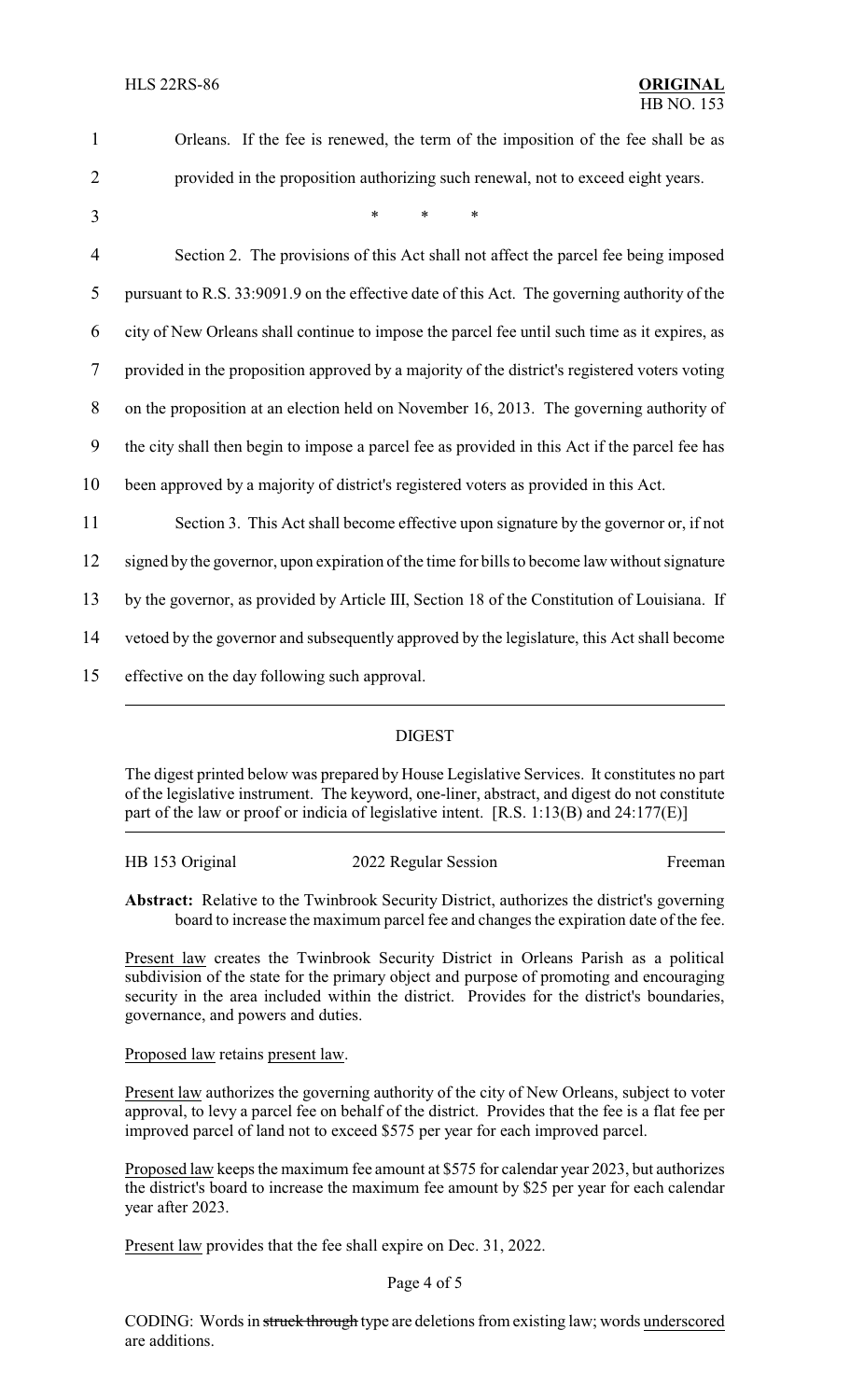| $\mathbf{1}$   | Orleans. If the fee is renewed, the term of the imposition of the fee shall be as              |
|----------------|------------------------------------------------------------------------------------------------|
| $\overline{2}$ | provided in the proposition authorizing such renewal, not to exceed eight years.               |
| 3              | $\ast$<br>$\ast$<br>$\ast$                                                                     |
| $\overline{4}$ | Section 2. The provisions of this Act shall not affect the parcel fee being imposed            |
| 5              | pursuant to R.S. 33:9091.9 on the effective date of this Act. The governing authority of the   |
| 6              | city of New Orleans shall continue to impose the parcel fee until such time as it expires, as  |
| $\tau$         | provided in the proposition approved by a majority of the district's registered voters voting  |
| 8              | on the proposition at an election held on November 16, 2013. The governing authority of        |
| 9              | the city shall then begin to impose a parcel fee as provided in this Act if the parcel fee has |
| 10             | been approved by a majority of district's registered voters as provided in this Act.           |
| 11             | Section 3. This Act shall become effective upon signature by the governor or, if not           |
| 12             | signed by the governor, upon expiration of the time for bills to become law without signature  |
| 13             | by the governor, as provided by Article III, Section 18 of the Constitution of Louisiana. If   |
| 14             | vetoed by the governor and subsequently approved by the legislature, this Act shall become     |
| 15             | effective on the day following such approval.                                                  |

### DIGEST

The digest printed below was prepared by House Legislative Services. It constitutes no part of the legislative instrument. The keyword, one-liner, abstract, and digest do not constitute part of the law or proof or indicia of legislative intent. [R.S. 1:13(B) and 24:177(E)]

| HB 153 Original | 2022 Regular Session | Freeman |
|-----------------|----------------------|---------|
|-----------------|----------------------|---------|

**Abstract:** Relative to the Twinbrook Security District, authorizes the district's governing board to increase the maximum parcel fee and changes the expiration date of the fee.

Present law creates the Twinbrook Security District in Orleans Parish as a political subdivision of the state for the primary object and purpose of promoting and encouraging security in the area included within the district. Provides for the district's boundaries, governance, and powers and duties.

Proposed law retains present law.

Present law authorizes the governing authority of the city of New Orleans, subject to voter approval, to levy a parcel fee on behalf of the district. Provides that the fee is a flat fee per improved parcel of land not to exceed \$575 per year for each improved parcel.

Proposed law keeps the maximum fee amount at \$575 for calendar year 2023, but authorizes the district's board to increase the maximum fee amount by \$25 per year for each calendar year after 2023.

Present law provides that the fee shall expire on Dec. 31, 2022.

### Page 4 of 5

CODING: Words in struck through type are deletions from existing law; words underscored are additions.